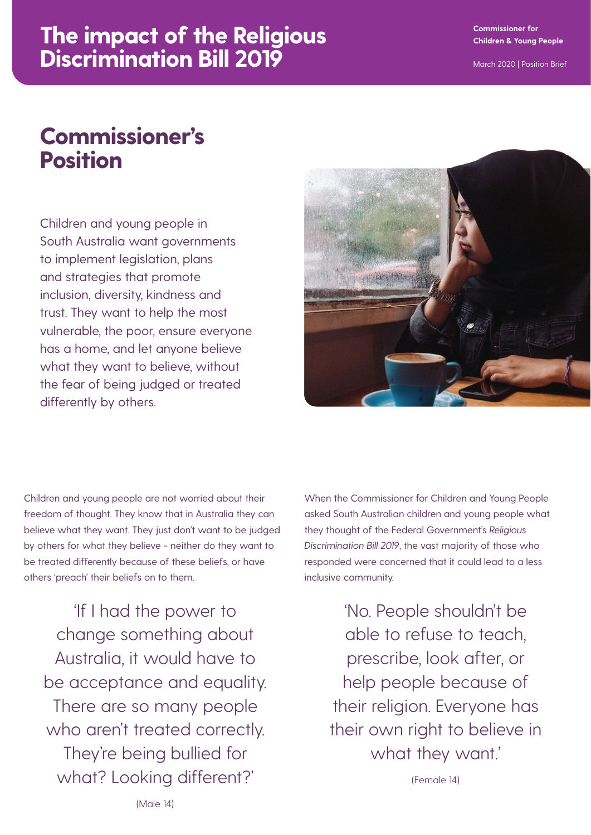#### **Commissioner for Children & Young People**

# **The impact of the Religious Discrimination Bill 2019**

# **Commissioner's Position**

Children and young people in South Australia want governments to implement legislation, plans and strategies that promote inclusion, diversity, kindness and trust. They want to help the most vulnerable, the poor, ensure everyone has a home, and let anyone believe what they want to believe, without the fear of being judged or treated differently by others.



Children and young people are not worried about their freedom of thought. They know that in Australia they can believe what they want. They just don't want to be judged by others for what they believe - neither do they want to be treated differently because of these beliefs, or have others 'preach' their beliefs on to them.

'If I had the power to change something about Australia, it would have to be acceptance and equality. There are so many people who aren't treated correctly. They're being bullied for what? Looking different?'

When the Commissioner for Children and Young People asked South Australian children and young people what they thought of the Federal Government's *Religious Discrimination Bill 2019*, the vast majority of those who responded were concerned that it could lead to a less inclusive community.

> 'No. People shouldn't be able to refuse to teach, prescribe, look after, or help people because of their religion. Everyone has their own right to believe in what they want.'

> > (Female 14)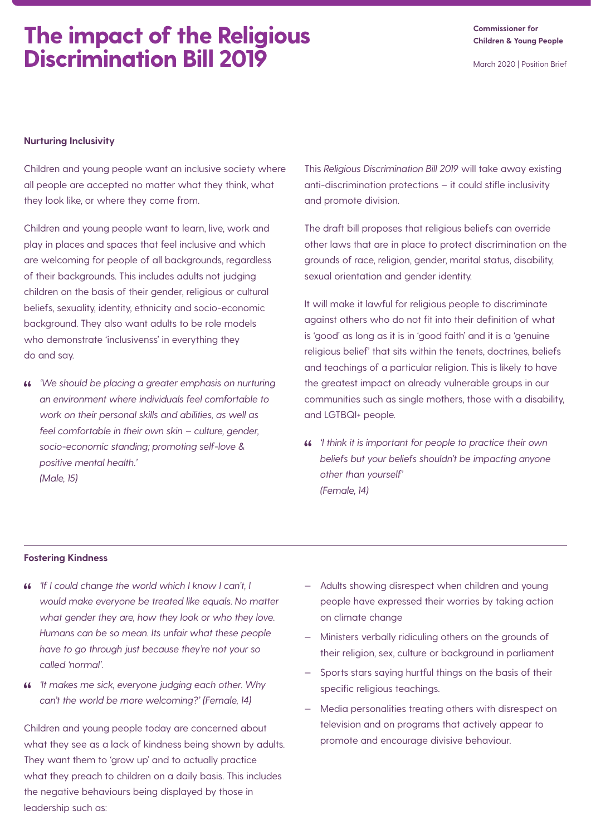## **The impact of the Religious Discrimination Bill 2019**

**Commissioner for Children & Young People**

March 2020 | Position Brief

### **Nurturing Inclusivity**

Children and young people want an inclusive society where all people are accepted no matter what they think, what they look like, or where they come from.

Children and young people want to learn, live, work and play in places and spaces that feel inclusive and which are welcoming for people of all backgrounds, regardless of their backgrounds. This includes adults not judging children on the basis of their gender, religious or cultural beliefs, sexuality, identity, ethnicity and socio-economic background. They also want adults to be role models who demonstrate 'inclusivenss' in everything they do and say.

*'We should be placing a greater emphasis on nurturing an environment where individuals feel comfortable to work on their personal skills and abilities, as well as feel comfortable in their own skin – culture, gender, socio-economic standing; promoting self-love & positive mental health.' (Male, 15)*

This *Religious Discrimination Bill 2019* will take away existing anti-discrimination protections – it could stifle inclusivity and promote division.

The draft bill proposes that religious beliefs can override other laws that are in place to protect discrimination on the grounds of race, religion, gender, marital status, disability, sexual orientation and gender identity.

It will make it lawful for religious people to discriminate against others who do not fit into their definition of what is 'good' as long as it is in 'good faith' and it is a 'genuine religious belief' that sits within the tenets, doctrines, beliefs and teachings of a particular religion. This is likely to have the greatest impact on already vulnerable groups in our communities such as single mothers, those with a disability, and LGTBQI+ people.

*'I think it is important for people to practice their own beliefs but your beliefs shouldn't be impacting anyone other than yourself' (Female, 14)*

#### **Fostering Kindness**

- *'If I could change the world which I know I can't, I would make everyone be treated like equals. No matter what gender they are, how they look or who they love. Humans can be so mean. Its unfair what these people have to go through just because they're not your so called 'normal'.*
- *'It makes me sick, everyone judging each other. Why can't the world be more welcoming?' (Female, 14)*

Children and young people today are concerned about what they see as a lack of kindness being shown by adults. They want them to 'grow up' and to actually practice what they preach to children on a daily basis. This includes the negative behaviours being displayed by those in leadership such as:

- Adults showing disrespect when children and young people have expressed their worries by taking action on climate change
- Ministers verbally ridiculing others on the grounds of their religion, sex, culture or background in parliament
- Sports stars saying hurtful things on the basis of their specific religious teachings.
- Media personalities treating others with disrespect on television and on programs that actively appear to promote and encourage divisive behaviour.